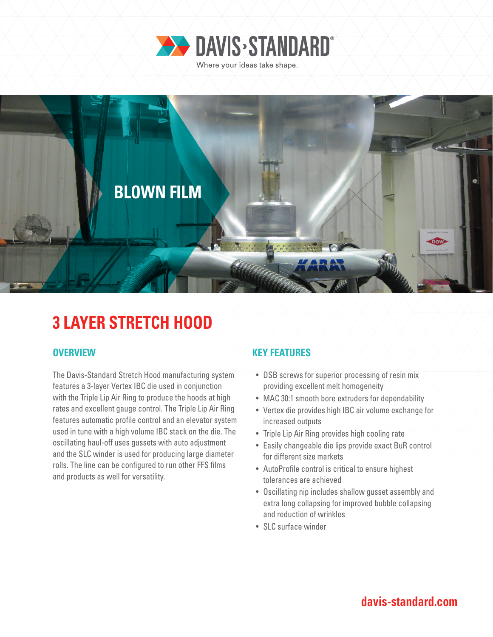



# **3 LAYER STRETCH HOOD**

The Davis-Standard Stretch Hood manufacturing system features a 3-layer Vertex IBC die used in conjunction with the Triple Lip Air Ring to produce the hoods at high rates and excellent gauge control. The Triple Lip Air Ring features automatic profile control and an elevator system used in tune with a high volume IBC stack on the die. The oscillating haul-off uses gussets with auto adjustment and the SLC winder is used for producing large diameter rolls. The line can be configured to run other FFS films and products as well for versatility.

### **OVERVIEW KEY FEATURES**

- DSB screws for superior processing of resin mix providing excellent melt homogeneity
- MAC 30:1 smooth bore extruders for dependability
- Vertex die provides high IBC air volume exchange for increased outputs
- Triple Lip Air Ring provides high cooling rate
- Easily changeable die lips provide exact BuR control for different size markets
- AutoProfile control is critical to ensure highest tolerances are achieved
- Oscillating nip includes shallow gusset assembly and extra long collapsing for improved bubble collapsing and reduction of wrinkles
- SLC surface winder

## **davis-standard.com**